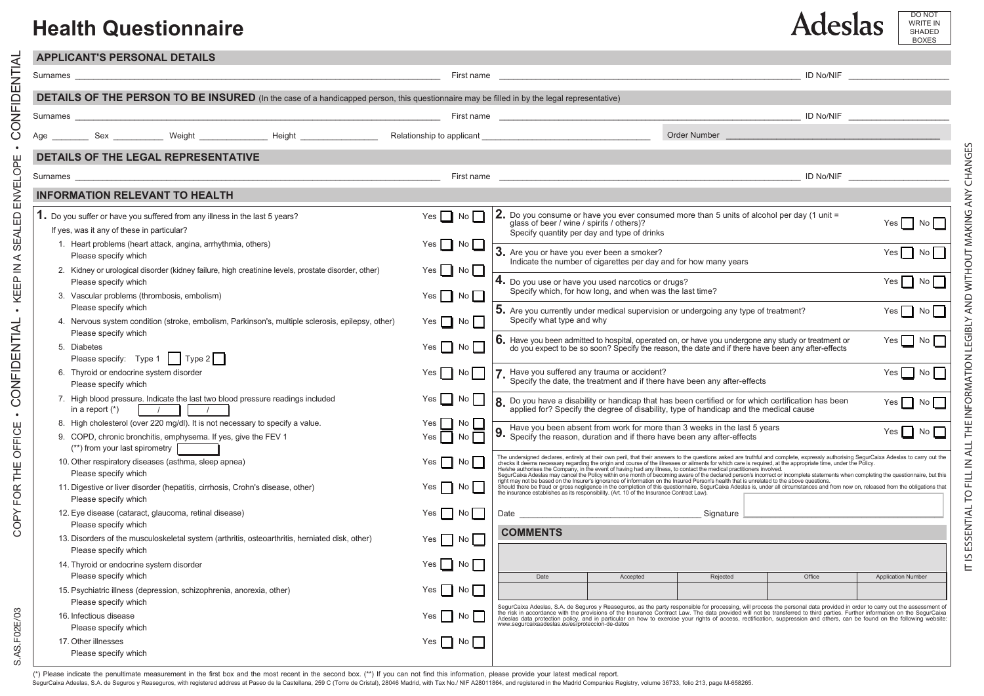## **Health Questionnaire**

COPY FOR THE OFFICE • CONFIDENTIAL • KEEP IN A SEALED ENVELOPE • CONFIDENTIAL

- CONFIDENTIAL - KEEP IN A SEALED ENVELOPE - CONFIDENTIAL

S.AS.F02E/03

S.AS.F02E/03

COPY FOR THE OFFICE

| <b>APPLICANT'S PERSONAL DETAILS</b>                                                                                                                                               |                                                                    |                                                                                                                                                                                                                                   |                      |          |           |                           |  |  |
|-----------------------------------------------------------------------------------------------------------------------------------------------------------------------------------|--------------------------------------------------------------------|-----------------------------------------------------------------------------------------------------------------------------------------------------------------------------------------------------------------------------------|----------------------|----------|-----------|---------------------------|--|--|
| Surnames                                                                                                                                                                          | First name                                                         | ID No/NIF                                                                                                                                                                                                                         |                      |          |           |                           |  |  |
| <b>DETAILS OF THE PERSON TO BE INSURED</b> (In the case of a handicapped person, this questionnaire may be filled in by the legal representative)                                 |                                                                    |                                                                                                                                                                                                                                   |                      |          |           |                           |  |  |
| Surnames                                                                                                                                                                          | <u> 2000 - Jan Samuel Barbara, margaret eta idazlea (h. 1888).</u> |                                                                                                                                                                                                                                   | ID No/NIF            |          |           |                           |  |  |
| Age Sex Weight Height Height Relationship to applicant                                                                                                                            |                                                                    | Order Number                                                                                                                                                                                                                      |                      |          |           |                           |  |  |
| <b>DETAILS OF THE LEGAL REPRESENTATIVE</b>                                                                                                                                        |                                                                    |                                                                                                                                                                                                                                   |                      |          |           |                           |  |  |
| Surnames                                                                                                                                                                          | First name                                                         |                                                                                                                                                                                                                                   |                      |          | ID No/NIF |                           |  |  |
| <b>INFORMATION RELEVANT TO HEALTH</b>                                                                                                                                             |                                                                    |                                                                                                                                                                                                                                   |                      |          |           |                           |  |  |
| 1. Do you suffer or have you suffered from any illness in the last 5 years?<br>If yes, was it any of these in particular?                                                         | Yes $\Box$ No $\Box$                                               | <b>2.</b> Do you consume or have you ever consumed more than 5 units of alcohol per day (1 unit =<br>glass of beer / wine / spirits / others)?<br>Specify quantity per day and type of drinks                                     | Yes No               |          |           |                           |  |  |
| 1. Heart problems (heart attack, angina, arrhythmia, others)<br>Please specify which                                                                                              |                                                                    | 3. Are you or have you ever been a smoker?<br>Indicate the number of cigarettes per day and for how many years                                                                                                                    | $Yes \tN$            |          |           |                           |  |  |
| 2. Kidney or urological disorder (kidney failure, high creatinine levels, prostate disorder, other)<br>Please specify which                                                       | $Yes \mid \mid No \mid \mid$                                       | 4. Do you use or have you used narcotics or drugs?<br>Specify which, for how long, and when was the last time?                                                                                                                    | Yes No               |          |           |                           |  |  |
| 3. Vascular problems (thrombosis, embolism)<br>Please specify which<br>4. Nervous system condition (stroke, embolism, Parkinson's, multiple sclerosis, epilepsy, other)           | $Yes \mid \mid No \mid \mid$<br>$Yes \tNo$                         | 5. Are you currently under medical supervision or undergoing any type of treatment?<br>Specify what type and why                                                                                                                  | $Yes \tN0$           |          |           |                           |  |  |
| Please specify which<br>5. Diabetes                                                                                                                                               | Yes $\Box$ No                                                      | 6. Have you been admitted to hospital, operated on, or have you undergone any study or treatment or do you expect to be so soon? Specify the reason, the date and if there have been any after-effects                            | Yes $\Box$ No $\Box$ |          |           |                           |  |  |
| Please specify: Type 1   Type 2  <br>6. Thyroid or endocrine system disorder                                                                                                      | Yes No                                                             | Have you suffered any trauma or accident?                                                                                                                                                                                         |                      |          |           | $Yes \Box No \Box$        |  |  |
| Please specify which                                                                                                                                                              |                                                                    | Specify the date, the treatment and if there have been any after-effects                                                                                                                                                          |                      |          |           |                           |  |  |
| 7. High blood pressure. Indicate the last two blood pressure readings included<br>in a report $(*)$<br>$\sqrt{1}$<br>$\sqrt{2}$                                                   | Yes<br>No I                                                        | 8. Do you have a disability or handicap that has been certified or for which certification has been<br>Yes No<br>applied for? Specify the degree of disability, type of handicap and the medical cause                            |                      |          |           |                           |  |  |
| 8. High cholesterol (over 220 mg/dl). It is not necessary to specify a value.<br>9. COPD, chronic bronchitis, emphysema. If yes, give the FEV 1<br>(**) from your last spirometry | No<br>Yes<br>$\mathbf{I}$<br>Yes<br>No                             | Have you been absent from work for more than 3 weeks in the last 5 years<br>Yes $\Box$ No $\Box$<br>Specify the reason, duration and if there have been any after-effects                                                         |                      |          |           |                           |  |  |
| 10. Other respiratory diseases (asthma, sleep apnea)<br>Please specify which                                                                                                      | $Yes$    <br>No l                                                  | The undersigned declares, entirely at their own peril, that their answers to the questions asked are truthful and complete, expressly authorising SegurCaixa Adeslas to carry out the Heiste at the expectation of the lines o    |                      |          |           |                           |  |  |
| 11. Digestive or liver disorder (hepatitis, cirrhosis, Crohn's disease, other)<br>Please specify which                                                                            | Yes $\vert \vert$<br>No l                                          | Should there be fraud or gross negligence in the completion of this questionnaire, Segurician National Absorbance of the current of the completion of this questionnaire, Segurician Adesia, under all circumstances and from     |                      |          |           |                           |  |  |
| 12. Eye disease (cataract, glaucoma, retinal disease)<br>Please specify which                                                                                                     | No<br>Yes                                                          | Signature<br><b>COMMENTS</b>                                                                                                                                                                                                      |                      |          |           |                           |  |  |
| 13. Disorders of the musculoskeletal system (arthritis, osteoarthritis, herniated disk, other)<br>Please specify which                                                            | Yes No                                                             |                                                                                                                                                                                                                                   |                      |          |           |                           |  |  |
| 14. Thyroid or endocrine system disorder<br>Please specify which                                                                                                                  | Yes No                                                             | Date                                                                                                                                                                                                                              | Accepted             | Rejected | Office    | <b>Application Number</b> |  |  |
| 15. Psychiatric illness (depression, schizophrenia, anorexia, other)<br>Please specify which                                                                                      | Yes No                                                             |                                                                                                                                                                                                                                   |                      |          |           |                           |  |  |
| 16. Infectious disease<br>Please specify which                                                                                                                                    | Yes   No                                                           | SegurCaixa Adeslas, S.A. de Seguros y Reaseguros, as the party responsible for processing, will process the personal data provided in order to carry out the assessment of<br>the risk in accordance with the provisions of the I |                      |          |           |                           |  |  |
| 17. Other illnesses<br>Please specify which                                                                                                                                       | Yes No                                                             |                                                                                                                                                                                                                                   |                      |          |           |                           |  |  |

(\*) Please indicate the penultimate measurement in the first box and the most recent in the second box. (\*\*) If you can not find this information, please provide your latest medical report.

SegurCaixa Adeslas, S.A. de Seguros y Reaseguros, with registered address at Paseo de la Castellana, 259 C (Torre de Cristal), 28046 Madrid, with Tax No./ NIF A28011864, and registered in the Madrid Companies Registry, vol

DO NOT WRITE IN SHADED BOXES

**Adeslas**